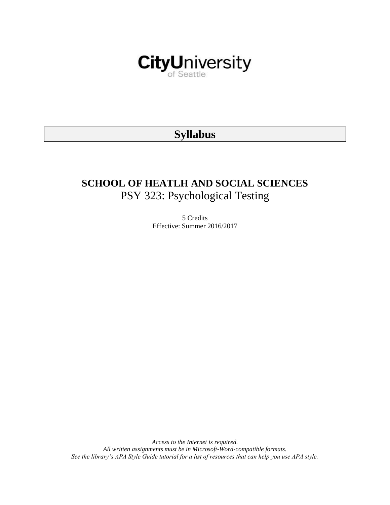

# **Syllabus**

# **SCHOOL OF HEATLH AND SOCIAL SCIENCES** PSY 323: Psychological Testing

5 Credits Effective: Summer 2016/2017

*Access to the Internet is required. All written assignments must be in Microsoft-Word-compatible formats. See the library's APA Style Guide tutorial for a list of resources that can help you use APA style.*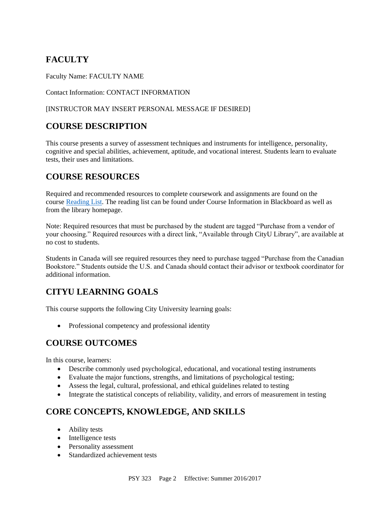# **FACULTY**

Faculty Name: FACULTY NAME

Contact Information: CONTACT INFORMATION

### [INSTRUCTOR MAY INSERT PERSONAL MESSAGE IF DESIRED]

# **COURSE DESCRIPTION**

This course presents a survey of assessment techniques and instruments for intelligence, personality, cognitive and special abilities, achievement, aptitude, and vocational interest. Students learn to evaluate tests, their uses and limitations.

# **COURSE RESOURCES**

Required and recommended resources to complete coursework and assignments are found on the course [Reading List.](https://nam03.safelinks.protection.outlook.com/?url=https%3A%2F%2Fcityu.alma.exlibrisgroup.com%2Fleganto%2Flogin%3Fauth%3DSAML&data=04%7C01%7CMMara%40cityu.edu%7C70673ce0fe0144040eda08d87472e204%7Cb3fa96d9f5154662add763d854e39e63%7C1%7C0%7C637387384066198115%7CUnknown%7CTWFpbGZsb3d8eyJWIjoiMC4wLjAwMDAiLCJQIjoiV2luMzIiLCJBTiI6Ik1haWwiLCJXVCI6Mn0%3D%7C1000&sdata=JbwP%2Fm5Q%2BMgIUWa%2FXceos%2BoiLv0DX%2B%2FL%2BNGNMbX9P8E%3D&reserved=0) The reading list can be found under Course Information in Blackboard as well as from the library homepage.

Note: Required resources that must be purchased by the student are tagged "Purchase from a vendor of your choosing." Required resources with a direct link, "Available through CityU Library", are available at no cost to students.

Students in Canada will see required resources they need to purchase tagged "Purchase from the Canadian Bookstore." Students outside the U.S. and Canada should contact their advisor or textbook coordinator for additional information.

# **CITYU LEARNING GOALS**

This course supports the following City University learning goals:

• Professional competency and professional identity

# **COURSE OUTCOMES**

In this course, learners:

- Describe commonly used psychological, educational, and vocational testing instruments
- Evaluate the major functions, strengths, and limitations of psychological testing;
- Assess the legal, cultural, professional, and ethical guidelines related to testing
- Integrate the statistical concepts of reliability, validity, and errors of measurement in testing

# **CORE CONCEPTS, KNOWLEDGE, AND SKILLS**

- Ability tests
- Intelligence tests
- Personality assessment
- Standardized achievement tests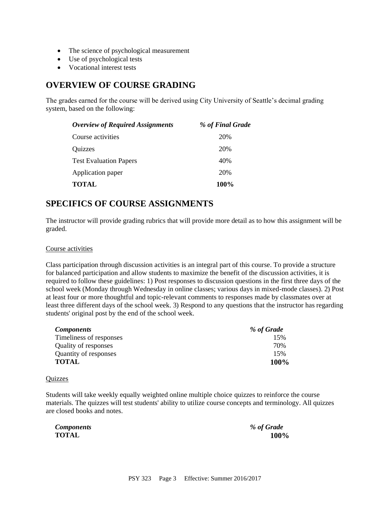- The science of psychological measurement
- Use of psychological tests
- Vocational interest tests

### **OVERVIEW OF COURSE GRADING**

The grades earned for the course will be derived using City University of Seattle's decimal grading system, based on the following:

| <b>Overview of Required Assignments</b> | % of Final Grade |
|-----------------------------------------|------------------|
| Course activities                       | 20%              |
| Quizzes                                 | 20%              |
| <b>Test Evaluation Papers</b>           | 40%              |
| Application paper                       | 20%              |
| <b>TOTAL</b>                            | 100%             |

### **SPECIFICS OF COURSE ASSIGNMENTS**

The instructor will provide grading rubrics that will provide more detail as to how this assignment will be graded.

#### Course activities

Class participation through discussion activities is an integral part of this course. To provide a structure for balanced participation and allow students to maximize the benefit of the discussion activities, it is required to follow these guidelines: 1) Post responses to discussion questions in the first three days of the school week (Monday through Wednesday in online classes; various days in mixed-mode classes). 2) Post at least four or more thoughtful and topic-relevant comments to responses made by classmates over at least three different days of the school week. 3) Respond to any questions that the instructor has regarding students' original post by the end of the school week.

| <i>Components</i>       | % of Grade |
|-------------------------|------------|
| Timeliness of responses | 15%        |
| Quality of responses    | 70%        |
| Quantity of responses   | 15%        |
| <b>TOTAL</b>            | 100%       |

#### **Quizzes**

Students will take weekly equally weighted online multiple choice quizzes to reinforce the course materials. The quizzes will test students' ability to utilize course concepts and terminology. All quizzes are closed books and notes.

*Components % of Grade*

**TOTAL 100%**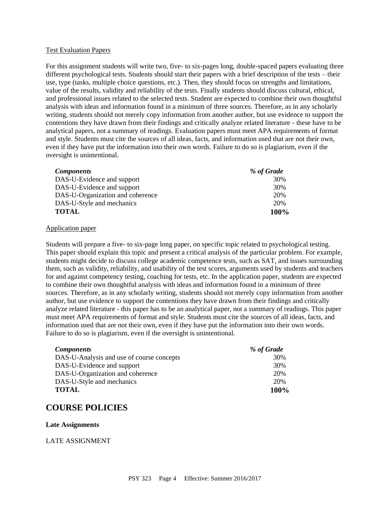#### Test Evaluation Papers

For this assignment students will write two, five- to six-pages long, double-spaced papers evaluating three different psychological tests. Students should start their papers with a brief description of the tests – their use, type (tasks, multiple choice questions, etc.). Then, they should focus on strengths and limitations, value of the results, validity and reliability of the tests. Finally students should discuss cultural, ethical, and professional issues related to the selected tests. Student are expected to combine their own thoughtful analysis with ideas and information found in a minimum of three sources. Therefore, as in any scholarly writing, students should not merely copy information from another author, but use evidence to support the contentions they have drawn from their findings and critically analyze related literature - these have to be analytical papers, not a summary of readings. Evaluation papers must meet APA requirements of format and style. Students must cite the sources of all ideas, facts, and information used that are not their own, even if they have put the information into their own words. Failure to do so is plagiarism, even if the oversight is unintentional.

| <b>Components</b>                | % of Grade |
|----------------------------------|------------|
| DAS-U-Evidence and support       | 30%        |
| DAS-U-Evidence and support       | 30%        |
| DAS-U-Organization and coherence | 20%        |
| DAS-U-Style and mechanics        | 20%        |
| <b>TOTAL</b>                     | 100%       |

#### Application paper

Students will prepare a five- to six-page long paper, on specific topic related to psychological testing. This paper should explain this topic and present a critical analysis of the particular problem. For example, students might decide to discuss college academic competence tests, such as SAT, and issues surrounding them, such as validity, reliability, and usability of the test scores, arguments used by students and teachers for and against competency testing, coaching for tests, etc. In the application paper, students are expected to combine their own thoughtful analysis with ideas and information found in a minimum of three sources. Therefore, as in any scholarly writing, students should not merely copy information from another author, but use evidence to support the contentions they have drawn from their findings and critically analyze related literature - this paper has to be an analytical paper, not a summary of readings. This paper must meet APA requirements of format and style. Students must cite the sources of all ideas, facts, and information used that are not their own, even if they have put the information into their own words. Failure to do so is plagiarism, even if the oversight is unintentional.

| <i>Components</i>                         | % of Grade |
|-------------------------------------------|------------|
| DAS-U-Analysis and use of course concepts | 30%        |
| DAS-U-Evidence and support                | 30%        |
| DAS-U-Organization and coherence          | 20%        |
| DAS-U-Style and mechanics                 | 20%        |
| <b>TOTAL</b>                              | 100%       |

### **COURSE POLICIES**

#### **Late Assignments**

#### LATE ASSIGNMENT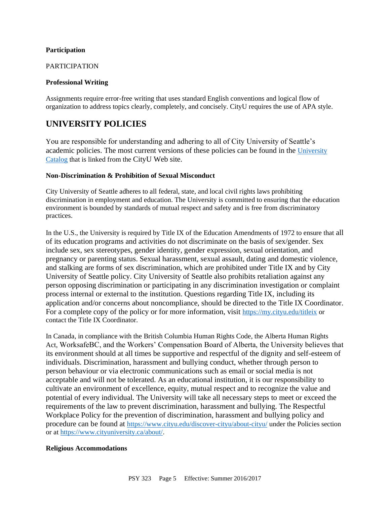#### **Participation**

#### PARTICIPATION

#### **Professional Writing**

Assignments require error-free writing that uses standard English conventions and logical flow of organization to address topics clearly, completely, and concisely. CityU requires the use of APA style.

### **UNIVERSITY POLICIES**

You are responsible for understanding and adhering to all of City University of Seattle's academic policies. The most current versions of these policies can be found in the University [Catalog](https://www.cityu.edu/catalog/) that is linked from the CityU Web site.

#### **Non-Discrimination & Prohibition of Sexual Misconduct**

City University of Seattle adheres to all federal, state, and local civil rights laws prohibiting discrimination in employment and education. The University is committed to ensuring that the education environment is bounded by standards of mutual respect and safety and is free from discriminatory practices.

In the U.S., the University is required by Title IX of the Education Amendments of 1972 to ensure that all of its education programs and activities do not discriminate on the basis of sex/gender. Sex include sex, sex stereotypes, gender identity, gender expression, sexual orientation, and pregnancy or parenting status. Sexual harassment, sexual assault, dating and domestic violence, and stalking are forms of sex discrimination, which are prohibited under Title IX and by City University of Seattle policy. City University of Seattle also prohibits retaliation against any person opposing discrimination or participating in any discrimination investigation or complaint process internal or external to the institution. Questions regarding Title IX, including its application and/or concerns about noncompliance, should be directed to the Title IX Coordinator. For a complete copy of the policy or for more information, visit <https://my.cityu.edu/titleix> or contact the Title IX Coordinator.

In Canada, in compliance with the British Columbia Human Rights Code, the Alberta Human Rights Act, WorksafeBC, and the Workers' Compensation Board of Alberta, the University believes that its environment should at all times be supportive and respectful of the dignity and self-esteem of individuals. Discrimination, harassment and bullying conduct, whether through person to person behaviour or via electronic communications such as email or social media is not acceptable and will not be tolerated. As an educational institution, it is our responsibility to cultivate an environment of excellence, equity, mutual respect and to recognize the value and potential of every individual. The University will take all necessary steps to meet or exceed the requirements of the law to prevent discrimination, harassment and bullying. The Respectful Workplace Policy for the prevention of discrimination, harassment and bullying policy and procedure can be found at <https://www.cityu.edu/discover-cityu/about-cityu/> under the Policies section or at <https://www.cityuniversity.ca/about/>.

#### **Religious Accommodations**